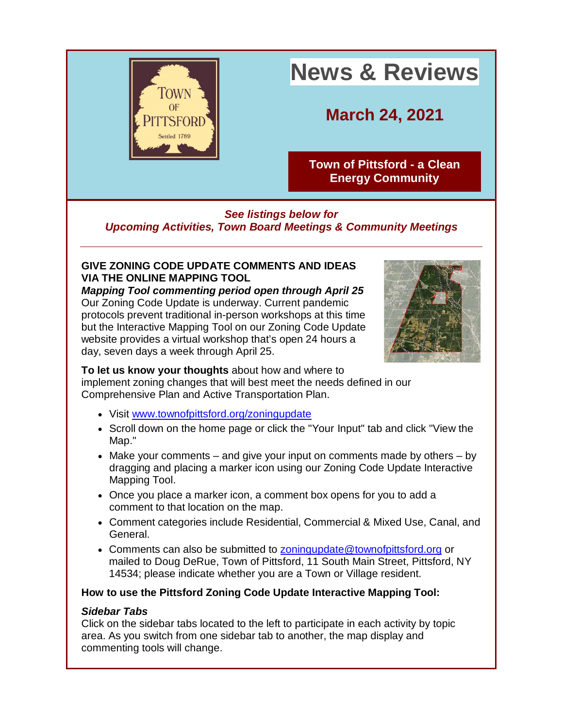

# **News & Reviews**

**March 24, 2021**

**[Town of Pittsford -](http://r20.rs6.net/tn.jsp?f=001vGYnQEEn9Dr7pWe6QR9pkvIR3BfXMuc8937jggmtx-wDh7C9GPtvfX1pQSEp-gq40yTNBJbpe2Fyyu_F4rytPUTXKuEMBrNCKeRmZ6ML3eSMYu8dw3-qBA5oDWfwwa7hsrmRfG0Bs6OA6kfg0sibk-Q3bxgM_g3S&c=a256ri-a5MykarC7Wv64PtmhLEXR9MOxdRdb1DEXbyMDjIEG6chpzQ==&ch=eD3mScsc_qZlrffOmTCjpgKvAFhep9v7qlwYDavSmsSIHnQBDjs7LA==) a Clean [Energy Community](http://r20.rs6.net/tn.jsp?f=001vGYnQEEn9Dr7pWe6QR9pkvIR3BfXMuc8937jggmtx-wDh7C9GPtvfX1pQSEp-gq40yTNBJbpe2Fyyu_F4rytPUTXKuEMBrNCKeRmZ6ML3eSMYu8dw3-qBA5oDWfwwa7hsrmRfG0Bs6OA6kfg0sibk-Q3bxgM_g3S&c=a256ri-a5MykarC7Wv64PtmhLEXR9MOxdRdb1DEXbyMDjIEG6chpzQ==&ch=eD3mScsc_qZlrffOmTCjpgKvAFhep9v7qlwYDavSmsSIHnQBDjs7LA==)**

## *See listings below for Upcoming Activities, Town Board Meetings & Community Meetings*

#### **GIVE ZONING CODE UPDATE COMMENTS AND IDEAS VIA THE ONLINE MAPPING TOOL**

*Mapping Tool commenting period open through April 25* Our Zoning Code Update is underway. Current pandemic protocols prevent traditional in-person workshops at this time but the Interactive Mapping Tool on our Zoning Code Update website provides a virtual workshop that's open 24 hours a day, seven days a week through April 25.



**To let us know your thoughts** about how and where to implement zoning changes that will best meet the needs defined in our Comprehensive Plan and Active Transportation Plan.

- Visit [www.townofpittsford.org/zoningupdate](http://r20.rs6.net/tn.jsp?f=001vGYnQEEn9Dr7pWe6QR9pkvIR3BfXMuc8937jggmtx-wDh7C9GPtvfcUClpPrLOtcissn00ZqYZm7LfDYEnNKnJkyqC2GWdOixLGuS_rq3hFe8trY7TYpq3-MKgcZvA3tudsPz7IWJ8PtOh3Jli21J8V37LStAjCTyDOeXb-IACA=&c=a256ri-a5MykarC7Wv64PtmhLEXR9MOxdRdb1DEXbyMDjIEG6chpzQ==&ch=eD3mScsc_qZlrffOmTCjpgKvAFhep9v7qlwYDavSmsSIHnQBDjs7LA==)
- Scroll down on the home page or click the "Your Input" tab and click "View the Map."
- Make your comments and give your input on comments made by others by dragging and placing a marker icon using our Zoning Code Update Interactive Mapping Tool.
- Once you place a marker icon, a comment box opens for you to add a comment to that location on the map.
- Comment categories include Residential, Commercial & Mixed Use, Canal, and General.
- Comments can also be submitted to [zoningupdate@townofpittsford.org](mailto:zoningupdate@townofpittsford.org) or mailed to Doug DeRue, Town of Pittsford, 11 South Main Street, Pittsford, NY 14534; please indicate whether you are a Town or Village resident.

#### **How to use the Pittsford Zoning Code Update Interactive Mapping Tool:**

#### *Sidebar Tabs*

Click on the sidebar tabs located to the left to participate in each activity by topic area. As you switch from one sidebar tab to another, the map display and commenting tools will change.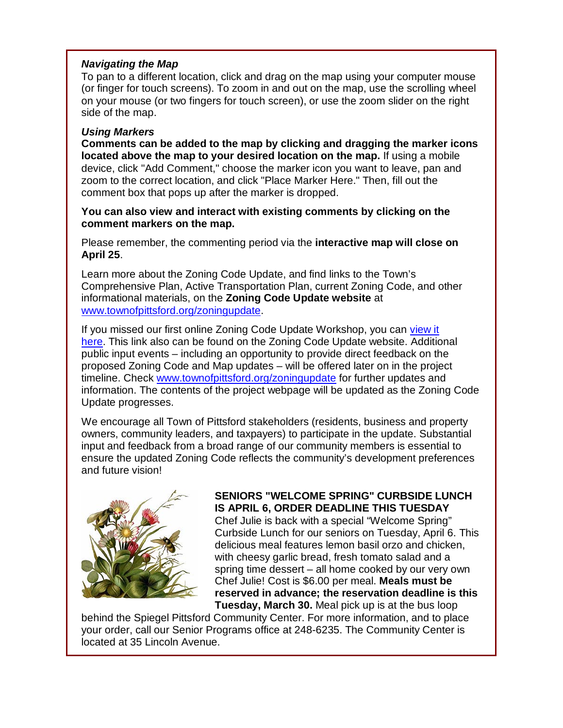#### *Navigating the Map*

To pan to a different location, click and drag on the map using your computer mouse (or finger for touch screens). To zoom in and out on the map, use the scrolling wheel on your mouse (or two fingers for touch screen), or use the zoom slider on the right side of the map.

#### *Using Markers*

**Comments can be added to the map by clicking and dragging the marker icons located above the map to your desired location on the map.** If using a mobile device, click "Add Comment," choose the marker icon you want to leave, pan and zoom to the correct location, and click "Place Marker Here." Then, fill out the comment box that pops up after the marker is dropped.

#### **You can also view and interact with existing comments by clicking on the comment markers on the map.**

Please remember, the commenting period via the **interactive map will close on April 25**.

Learn more about the Zoning Code Update, and find links to the Town's Comprehensive Plan, Active Transportation Plan, current Zoning Code, and other informational materials, on the **Zoning Code Update website** at [www.townofpittsford.org/zoningupdate.](http://r20.rs6.net/tn.jsp?f=001vGYnQEEn9Dr7pWe6QR9pkvIR3BfXMuc8937jggmtx-wDh7C9GPtvfcUClpPrLOtcissn00ZqYZm7LfDYEnNKnJkyqC2GWdOixLGuS_rq3hFe8trY7TYpq3-MKgcZvA3tudsPz7IWJ8PtOh3Jli21J8V37LStAjCTyDOeXb-IACA=&c=a256ri-a5MykarC7Wv64PtmhLEXR9MOxdRdb1DEXbyMDjIEG6chpzQ==&ch=eD3mScsc_qZlrffOmTCjpgKvAFhep9v7qlwYDavSmsSIHnQBDjs7LA==)

If you missed our first online Zoning Code Update Workshop, you can [view it](http://r20.rs6.net/tn.jsp?f=001vGYnQEEn9Dr7pWe6QR9pkvIR3BfXMuc8937jggmtx-wDh7C9GPtvfaWMiL2i0XdoKWWNJm3epP1btD_OIs-y5d5xc2T-waqSRlZgD1ZC6RAEo7Ly5eils7MP7pwcgQmwy7A3dIgkEBGTW8eU8SqF2g==&c=a256ri-a5MykarC7Wv64PtmhLEXR9MOxdRdb1DEXbyMDjIEG6chpzQ==&ch=eD3mScsc_qZlrffOmTCjpgKvAFhep9v7qlwYDavSmsSIHnQBDjs7LA==)  [here.](http://r20.rs6.net/tn.jsp?f=001vGYnQEEn9Dr7pWe6QR9pkvIR3BfXMuc8937jggmtx-wDh7C9GPtvfaWMiL2i0XdoKWWNJm3epP1btD_OIs-y5d5xc2T-waqSRlZgD1ZC6RAEo7Ly5eils7MP7pwcgQmwy7A3dIgkEBGTW8eU8SqF2g==&c=a256ri-a5MykarC7Wv64PtmhLEXR9MOxdRdb1DEXbyMDjIEG6chpzQ==&ch=eD3mScsc_qZlrffOmTCjpgKvAFhep9v7qlwYDavSmsSIHnQBDjs7LA==) This link also can be found on the Zoning Code Update website. Additional public input events – including an opportunity to provide direct feedback on the proposed Zoning Code and Map updates – will be offered later on in the project timeline. Check [www.townofpittsford.org/zoningupdate](http://r20.rs6.net/tn.jsp?f=001vGYnQEEn9Dr7pWe6QR9pkvIR3BfXMuc8937jggmtx-wDh7C9GPtvfcUClpPrLOtcissn00ZqYZm7LfDYEnNKnJkyqC2GWdOixLGuS_rq3hFe8trY7TYpq3-MKgcZvA3tudsPz7IWJ8PtOh3Jli21J8V37LStAjCTyDOeXb-IACA=&c=a256ri-a5MykarC7Wv64PtmhLEXR9MOxdRdb1DEXbyMDjIEG6chpzQ==&ch=eD3mScsc_qZlrffOmTCjpgKvAFhep9v7qlwYDavSmsSIHnQBDjs7LA==) for further updates and information. The contents of the project webpage will be updated as the Zoning Code Update progresses.

We encourage all Town of Pittsford stakeholders (residents, business and property owners, community leaders, and taxpayers) to participate in the update. Substantial input and feedback from a broad range of our community members is essential to ensure the updated Zoning Code reflects the community's development preferences and future vision!



#### **SENIORS "WELCOME SPRING" CURBSIDE LUNCH IS APRIL 6, ORDER DEADLINE THIS TUESDAY**

Chef Julie is back with a special "Welcome Spring" Curbside Lunch for our seniors on Tuesday, April 6. This delicious meal features lemon basil orzo and chicken, with cheesy garlic bread, fresh tomato salad and a spring time dessert – all home cooked by our very own Chef Julie! Cost is \$6.00 per meal. **Meals must be reserved in advance; the reservation deadline is this Tuesday, March 30.** Meal pick up is at the bus loop

behind the Spiegel Pittsford Community Center. For more information, and to place your order, call our Senior Programs office at 248-6235. The Community Center is located at 35 Lincoln Avenue.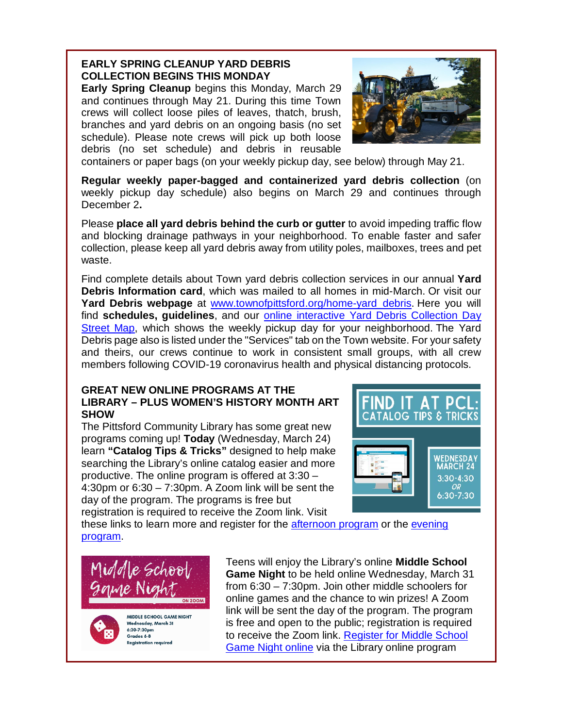# **EARLY SPRING CLEANUP YARD DEBRIS COLLECTION BEGINS THIS MONDAY**

**Early Spring Cleanup** begins this Monday, March 29 and continues through May 21. During this time Town crews will collect loose piles of leaves, thatch, brush, branches and yard debris on an ongoing basis (no set schedule). Please note crews will pick up both loose debris (no set schedule) and debris in reusable



containers or paper bags (on your weekly pickup day, see below) through May 21.

**Regular weekly paper-bagged and containerized yard debris collection** (on weekly pickup day schedule) also begins on March 29 and continues through December 2**.**

Please **place all yard debris behind the curb or gutter** to avoid impeding traffic flow and blocking drainage pathways in your neighborhood. To enable faster and safer collection, please keep all yard debris away from utility poles, mailboxes, trees and pet waste.

Find complete details about Town yard debris collection services in our annual **Yard Debris Information card**, which was mailed to all homes in mid-March. Or visit our **Yard Debris webpage** at [www.townofpittsford.org/home-yard\\_debris.](http://r20.rs6.net/tn.jsp?f=001vGYnQEEn9Dr7pWe6QR9pkvIR3BfXMuc8937jggmtx-wDh7C9GPtvfTM0rQPU3jAWq4Az6U2asnYMhEW-Jy8nSkyS0efJ3CsVmGXGWf1D_jek48sn169dPYmGYYUkV0lOfwsy4qKSlGLv0RXRVZ68m6VyzdeKSr_-P1owTa59DCHts_kKyTUx_Q==&c=a256ri-a5MykarC7Wv64PtmhLEXR9MOxdRdb1DEXbyMDjIEG6chpzQ==&ch=eD3mScsc_qZlrffOmTCjpgKvAFhep9v7qlwYDavSmsSIHnQBDjs7LA==) Here you will find **schedules, guidelines**, and our [online interactive Yard Debris Collection Day](http://r20.rs6.net/tn.jsp?f=001vGYnQEEn9Dr7pWe6QR9pkvIR3BfXMuc8937jggmtx-wDh7C9GPtvfScUt4qIRL2Zj3Fa_GdyEHdJ7AIpaX1PsNnicCeRPWSaJCW0rpmggBp6ZZb4gD_D6AsCCh_dYVNXbAyL9t4XYg7ImhgJdPaEGTBIzmZ79p6hvN8RwaZd0wg=&c=a256ri-a5MykarC7Wv64PtmhLEXR9MOxdRdb1DEXbyMDjIEG6chpzQ==&ch=eD3mScsc_qZlrffOmTCjpgKvAFhep9v7qlwYDavSmsSIHnQBDjs7LA==)  [Street Map,](http://r20.rs6.net/tn.jsp?f=001vGYnQEEn9Dr7pWe6QR9pkvIR3BfXMuc8937jggmtx-wDh7C9GPtvfScUt4qIRL2Zj3Fa_GdyEHdJ7AIpaX1PsNnicCeRPWSaJCW0rpmggBp6ZZb4gD_D6AsCCh_dYVNXbAyL9t4XYg7ImhgJdPaEGTBIzmZ79p6hvN8RwaZd0wg=&c=a256ri-a5MykarC7Wv64PtmhLEXR9MOxdRdb1DEXbyMDjIEG6chpzQ==&ch=eD3mScsc_qZlrffOmTCjpgKvAFhep9v7qlwYDavSmsSIHnQBDjs7LA==) which shows the weekly pickup day for your neighborhood. The Yard Debris page also is listed under the "Services" tab on the Town website. For your safety and theirs, our crews continue to work in consistent small groups, with all crew members following COVID-19 coronavirus health and physical distancing protocols.

#### **GREAT NEW ONLINE PROGRAMS AT THE LIBRARY – PLUS WOMEN'S HISTORY MONTH ART SHOW**

The Pittsford Community Library has some great new programs coming up! **Today** (Wednesday, March 24) learn **"Catalog Tips & Tricks"** designed to help make searching the Library's online catalog easier and more productive. The online program is offered at 3:30 – 4:30pm or 6:30 – 7:30pm. A Zoom link will be sent the day of the program. The programs is free but registration is required to receive the Zoom link. Visit



these links to learn more and register for the [afternoon program](http://r20.rs6.net/tn.jsp?f=001vGYnQEEn9Dr7pWe6QR9pkvIR3BfXMuc8937jggmtx-wDh7C9GPtvfScUt4qIRL2ZOcSGOOs-Mvhs8DWK-ZtkQxR0zfMhGu6n_ABZUShYFRth0SDj11zcPd0-py3UsrRzDhfqFelidiWlbwXMuvTk8KgE37h2ZbgA-AC4w75Zdk-0AQpdqhV_wg==&c=a256ri-a5MykarC7Wv64PtmhLEXR9MOxdRdb1DEXbyMDjIEG6chpzQ==&ch=eD3mScsc_qZlrffOmTCjpgKvAFhep9v7qlwYDavSmsSIHnQBDjs7LA==) or the [evening](http://r20.rs6.net/tn.jsp?f=001vGYnQEEn9Dr7pWe6QR9pkvIR3BfXMuc8937jggmtx-wDh7C9GPtvfScUt4qIRL2Z2liKmGFm4pNE_SXT13VgSKNXRIIcclXwZQLXyd3IrJyVhHra10y9HkefEM0qSHJMMBmJKVAOy--SCbAnrcOJIz3nCu3KXQDCTQRZ5ee1menhshpZE6kU6g==&c=a256ri-a5MykarC7Wv64PtmhLEXR9MOxdRdb1DEXbyMDjIEG6chpzQ==&ch=eD3mScsc_qZlrffOmTCjpgKvAFhep9v7qlwYDavSmsSIHnQBDjs7LA==)  [program.](http://r20.rs6.net/tn.jsp?f=001vGYnQEEn9Dr7pWe6QR9pkvIR3BfXMuc8937jggmtx-wDh7C9GPtvfScUt4qIRL2Z2liKmGFm4pNE_SXT13VgSKNXRIIcclXwZQLXyd3IrJyVhHra10y9HkefEM0qSHJMMBmJKVAOy--SCbAnrcOJIz3nCu3KXQDCTQRZ5ee1menhshpZE6kU6g==&c=a256ri-a5MykarC7Wv64PtmhLEXR9MOxdRdb1DEXbyMDjIEG6chpzQ==&ch=eD3mScsc_qZlrffOmTCjpgKvAFhep9v7qlwYDavSmsSIHnQBDjs7LA==)





MIDDLE SCHOOL GAME NIGHT Wednesday, March 31 6:30-7:30pm Grades 6-8 **Registration required** 

Teens will enjoy the Library's online **Middle School Game Night** to be held online Wednesday, March 31 from 6:30 – 7:30pm. Join other middle schoolers for online games and the chance to win prizes! A Zoom link will be sent the day of the program. The program is free and open to the public; registration is required to receive the Zoom link. [Register for Middle School](http://r20.rs6.net/tn.jsp?f=001vGYnQEEn9Dr7pWe6QR9pkvIR3BfXMuc8937jggmtx-wDh7C9GPtvfScUt4qIRL2Zjpk7K3-hmGOok6izq9yZ3dJGyvko3LxEGQHWPAcKP46zYQBqJXxL1GWT4RGGixeSWj3eG_YVwyh6uH0EwLRRq17bdoNeUlsYumGSiUN8qp9VUjAUAMXMww==&c=a256ri-a5MykarC7Wv64PtmhLEXR9MOxdRdb1DEXbyMDjIEG6chpzQ==&ch=eD3mScsc_qZlrffOmTCjpgKvAFhep9v7qlwYDavSmsSIHnQBDjs7LA==)  [Game Night online](http://r20.rs6.net/tn.jsp?f=001vGYnQEEn9Dr7pWe6QR9pkvIR3BfXMuc8937jggmtx-wDh7C9GPtvfScUt4qIRL2Zjpk7K3-hmGOok6izq9yZ3dJGyvko3LxEGQHWPAcKP46zYQBqJXxL1GWT4RGGixeSWj3eG_YVwyh6uH0EwLRRq17bdoNeUlsYumGSiUN8qp9VUjAUAMXMww==&c=a256ri-a5MykarC7Wv64PtmhLEXR9MOxdRdb1DEXbyMDjIEG6chpzQ==&ch=eD3mScsc_qZlrffOmTCjpgKvAFhep9v7qlwYDavSmsSIHnQBDjs7LA==) via the Library online program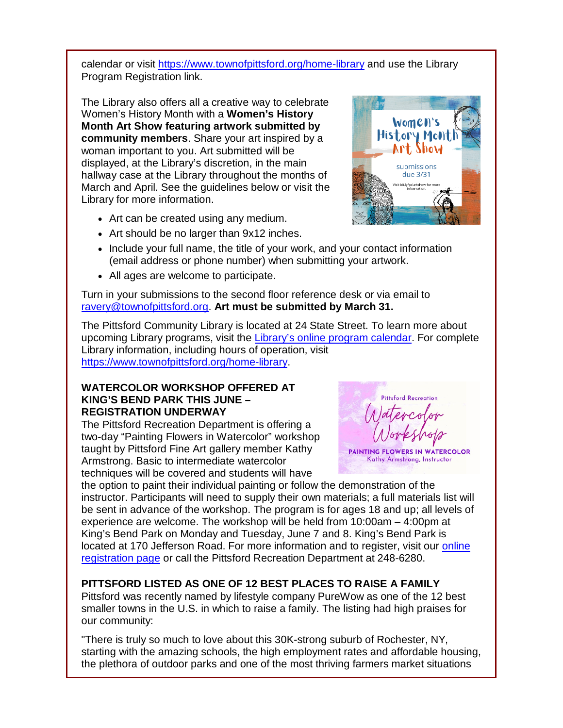calendar or visit [https://www.townofpittsford.org/home-library](http://https/www.townofpittsford.org/home-library) and use the Library Program Registration link.

The Library also offers all a creative way to celebrate Women's History Month with a **Women's History Month Art Show featuring artwork submitted by community members**. Share your art inspired by a woman important to you. Art submitted will be displayed, at the Library's discretion, in the main hallway case at the Library throughout the months of March and April. See the guidelines below or visit the Library for more information.



- Art should be no larger than 9x12 inches.
- Include your full name, the title of your work, and your contact information (email address or phone number) when submitting your artwork.
- All ages are welcome to participate.

Turn in your submissions to the second floor reference desk or via email to [ravery@townofpittsford.org.](mailto:ravery@townofpittsford.org) **Art must be submitted by March 31.**

The Pittsford Community Library is located at 24 State Street. To learn more about upcoming Library programs, visit the [Library's online program calendar.](http://r20.rs6.net/tn.jsp?f=001vGYnQEEn9Dr7pWe6QR9pkvIR3BfXMuc8937jggmtx-wDh7C9GPtvfZqWxKg7nVzNN3viY-o8dwjETasuwbLIKub1_Ocn7_CuFBVgmOZu5Aj1g2e2TgIhkbeEBHLqRxWArJcQdtNiEzIkBxGVL62ifdjk0rGtmOBZfG-gRyoAQ95jPxljGnYpPDWlzZ9wDbCHXEGQygz3pClJHvSOR-_fo2PVZ-TZNDRQzU-hurMAS7NTNTkS1y5zuD2yUef4uVKANr3uF0754CQ=&c=a256ri-a5MykarC7Wv64PtmhLEXR9MOxdRdb1DEXbyMDjIEG6chpzQ==&ch=eD3mScsc_qZlrffOmTCjpgKvAFhep9v7qlwYDavSmsSIHnQBDjs7LA==) For complete Library information, including hours of operation, visit [https://www.townofpittsford.org/home-library.](http://r20.rs6.net/tn.jsp?f=001vGYnQEEn9Dr7pWe6QR9pkvIR3BfXMuc8937jggmtx-wDh7C9GPtvfVIQEnNK4IX4E3Jp9fCEku-hGYDh--AYqbkxmybgAUrM1i3x1BRaGzaSUYZX1_3vqUaOX5P8Nn7d9oos7K6katlU_Ph1DL0B1i9NmG1xBigLjtQ5uRWW8N4=&c=a256ri-a5MykarC7Wv64PtmhLEXR9MOxdRdb1DEXbyMDjIEG6chpzQ==&ch=eD3mScsc_qZlrffOmTCjpgKvAFhep9v7qlwYDavSmsSIHnQBDjs7LA==)

#### **WATERCOLOR WORKSHOP OFFERED AT KING'S BEND PARK THIS JUNE – REGISTRATION UNDERWAY**

The Pittsford Recreation Department is offering a two-day "Painting Flowers in Watercolor" workshop taught by Pittsford Fine Art gallery member Kathy Armstrong. Basic to intermediate watercolor techniques will be covered and students will have

the option to paint their individual painting or follow the demonstration of the instructor. Participants will need to supply their own materials; a full materials list will be sent in advance of the workshop. The program is for ages 18 and up; all levels of experience are welcome. The workshop will be held from 10:00am – 4:00pm at King's Bend Park on Monday and Tuesday, June 7 and 8. King's Bend Park is located at 170 Jefferson Road. For more information and to register, visit our online [registration page](http://r20.rs6.net/tn.jsp?f=001vGYnQEEn9Dr7pWe6QR9pkvIR3BfXMuc8937jggmtx-wDh7C9GPtvfedleLfpWWbePINIyCpPcwpV14rndsL14HH_fZE4nVRtQZEHtqvSBNk5EEJ_lMhMe-qFuvzwDImPvmKrIFSMibNat-oy02SUvNHCiXcH1SoDjjAn78J0SahpYIIsD8b4VjYEcPe1uhNrYufJNXU7P0yC9RfbyUUjew==&c=a256ri-a5MykarC7Wv64PtmhLEXR9MOxdRdb1DEXbyMDjIEG6chpzQ==&ch=eD3mScsc_qZlrffOmTCjpgKvAFhep9v7qlwYDavSmsSIHnQBDjs7LA==) or call the Pittsford Recreation Department at 248-6280.

# **PITTSFORD LISTED AS ONE OF 12 BEST PLACES TO RAISE A FAMILY**

Pittsford was recently named by lifestyle company PureWow as one of the 12 best smaller towns in the U.S. in which to raise a family. The listing had high praises for our community:

"There is truly so much to love about this 30K-strong suburb of Rochester, NY, starting with the amazing schools, the high employment rates and affordable housing, the plethora of outdoor parks and one of the most thriving farmers market situations



**Pittsford Recreation** 

PAINTING FLOWERS IN WATERCOLOR Kathy Armstrong, Instructor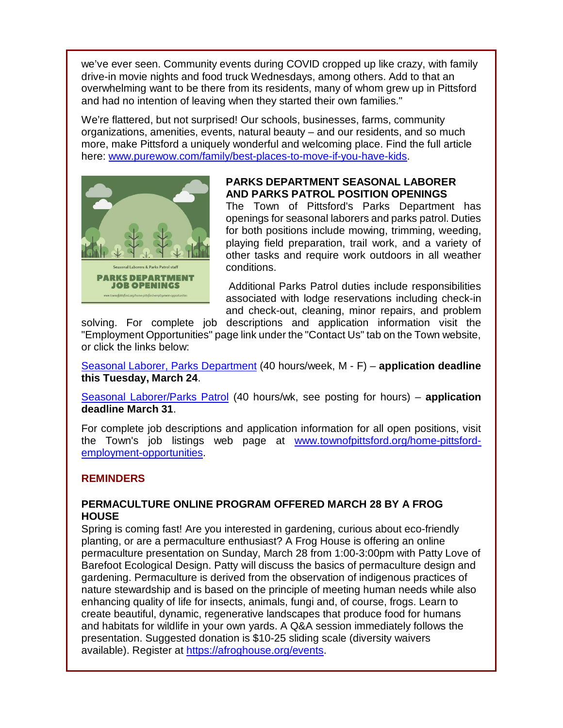we've ever seen. Community events during COVID cropped up like crazy, with family drive-in movie nights and food truck Wednesdays, among others. Add to that an overwhelming want to be there from its residents, many of whom grew up in Pittsford and had no intention of leaving when they started their own families."

We're flattered, but not surprised! Our schools, businesses, farms, community organizations, amenities, events, natural beauty – and our residents, and so much more, make Pittsford a uniquely wonderful and welcoming place. Find the full article here: [www.purewow.com/family/best-places-to-move-if-you-have-kids.](http://r20.rs6.net/tn.jsp?f=001vGYnQEEn9Dr7pWe6QR9pkvIR3BfXMuc8937jggmtx-wDh7C9GPtvfScUt4qIRL2ZoF0mMFTVmsRzRCoSoegDupBL7s-N0JFHYurPKDGXK6OWCQxHKOu7yzMtRHGQvbsiBVvHehJmVcbiDFaHd-MACEzo_LhUapZjRGfGQTxRyByLnu93IC_EuxCm55gmtYXis0L-VYti_I8=&c=a256ri-a5MykarC7Wv64PtmhLEXR9MOxdRdb1DEXbyMDjIEG6chpzQ==&ch=eD3mScsc_qZlrffOmTCjpgKvAFhep9v7qlwYDavSmsSIHnQBDjs7LA==)



#### **PARKS DEPARTMENT SEASONAL LABORER AND PARKS PATROL POSITION OPENINGS**

The Town of Pittsford's Parks Department has openings for seasonal laborers and parks patrol. Duties for both positions include mowing, trimming, weeding, playing field preparation, trail work, and a variety of other tasks and require work outdoors in all weather conditions.

Additional Parks Patrol duties include responsibilities associated with lodge reservations including check-in and check-out, cleaning, minor repairs, and problem

solving. For complete job descriptions and application information visit the "Employment Opportunities" page link under the "Contact Us" tab on the Town website, or click the links below:

[Seasonal Laborer, Parks Department](http://r20.rs6.net/tn.jsp?f=001vGYnQEEn9Dr7pWe6QR9pkvIR3BfXMuc8937jggmtx-wDh7C9GPtvfaWMiL2i0XdodYMcFcaXXS5miqfdLCG-cYKODr9BpF-r_7bzBi5uKIfkjzolZy3LCXYLqVQKO_F5Vg6alRjJdHCn9TTYijaS4bSt35XvDwfhixB0jiOjSUXL04c4QR_U__XtLs85wph11KtNCHC3ZLuV5WavQ2tpzpMhdlhj2B-azCi7gXe-AQtUVXPCgzjZCQ==&c=a256ri-a5MykarC7Wv64PtmhLEXR9MOxdRdb1DEXbyMDjIEG6chpzQ==&ch=eD3mScsc_qZlrffOmTCjpgKvAFhep9v7qlwYDavSmsSIHnQBDjs7LA==) (40 hours/week, M - F) – **application deadline this Tuesday, March 24**.

[Seasonal Laborer/Parks Patrol](http://r20.rs6.net/tn.jsp?f=001vGYnQEEn9Dr7pWe6QR9pkvIR3BfXMuc8937jggmtx-wDh7C9GPtvfaWMiL2i0Xdot4FQfsLlgNH3Q4i_H3buDZqdH6kZeQxiffCPBleq2KNYl14xVL37g0JmOo2krqAhlvBZGtgAulEiYEnovvQ1AGPgFVQalPiVWhZjQoHy_cBY07XdBfRvfdYOqSGmokDfK_MeBq6o88R0ClTPwICPZhauu2e3ZkLft6E0YeKE1TSC3yxzaQ-riA==&c=a256ri-a5MykarC7Wv64PtmhLEXR9MOxdRdb1DEXbyMDjIEG6chpzQ==&ch=eD3mScsc_qZlrffOmTCjpgKvAFhep9v7qlwYDavSmsSIHnQBDjs7LA==) (40 hours/wk, see posting for hours) – **application deadline March 31**.

For complete job descriptions and application information for all open positions, visit the Town's job listings web page at [www.townofpittsford.org/home-pittsford](http://r20.rs6.net/tn.jsp?f=001vGYnQEEn9Dr7pWe6QR9pkvIR3BfXMuc8937jggmtx-wDh7C9GPtvfZmOvKOAh1VUoBYLcql5pJG25Yxc544-idUzHgjJ988guHwDOF2Z2ZOYCScpIwFfSxmOiftEt0nWu1tj5MNqjA3d-XAB6RV9FkgrqsxSUS0ofblGznEcI3WGruPKYbsluP-FV1huCaolfwo_zDQpPgUxumqTmMMLDw==&c=a256ri-a5MykarC7Wv64PtmhLEXR9MOxdRdb1DEXbyMDjIEG6chpzQ==&ch=eD3mScsc_qZlrffOmTCjpgKvAFhep9v7qlwYDavSmsSIHnQBDjs7LA==)[employment-opportunities.](http://r20.rs6.net/tn.jsp?f=001vGYnQEEn9Dr7pWe6QR9pkvIR3BfXMuc8937jggmtx-wDh7C9GPtvfZmOvKOAh1VUoBYLcql5pJG25Yxc544-idUzHgjJ988guHwDOF2Z2ZOYCScpIwFfSxmOiftEt0nWu1tj5MNqjA3d-XAB6RV9FkgrqsxSUS0ofblGznEcI3WGruPKYbsluP-FV1huCaolfwo_zDQpPgUxumqTmMMLDw==&c=a256ri-a5MykarC7Wv64PtmhLEXR9MOxdRdb1DEXbyMDjIEG6chpzQ==&ch=eD3mScsc_qZlrffOmTCjpgKvAFhep9v7qlwYDavSmsSIHnQBDjs7LA==)

#### **REMINDERS**

#### **PERMACULTURE ONLINE PROGRAM OFFERED MARCH 28 BY A FROG HOUSE**

Spring is coming fast! Are you interested in gardening, curious about eco-friendly planting, or are a permaculture enthusiast? A Frog House is offering an online permaculture presentation on Sunday, March 28 from 1:00-3:00pm with Patty Love of Barefoot Ecological Design. Patty will discuss the basics of permaculture design and gardening. Permaculture is derived from the observation of indigenous practices of nature stewardship and is based on the principle of meeting human needs while also enhancing quality of life for insects, animals, fungi and, of course, frogs. Learn to create beautiful, dynamic, regenerative landscapes that produce food for humans and habitats for wildlife in your own yards. A Q&A session immediately follows the presentation. Suggested donation is \$10-25 sliding scale (diversity waivers available). Register at [https://afroghouse.org/events.](http://r20.rs6.net/tn.jsp?f=001vGYnQEEn9Dr7pWe6QR9pkvIR3BfXMuc8937jggmtx-wDh7C9GPtvfaWMiL2i0XdoWhUcD8_72-yjs2VjC-t2SjoMbMvIGqnSXRJOdxjfSwZfkIgttTmwHzB52H0mZ52--G81oL0eThlqcDO6V0ftlw==&c=a256ri-a5MykarC7Wv64PtmhLEXR9MOxdRdb1DEXbyMDjIEG6chpzQ==&ch=eD3mScsc_qZlrffOmTCjpgKvAFhep9v7qlwYDavSmsSIHnQBDjs7LA==)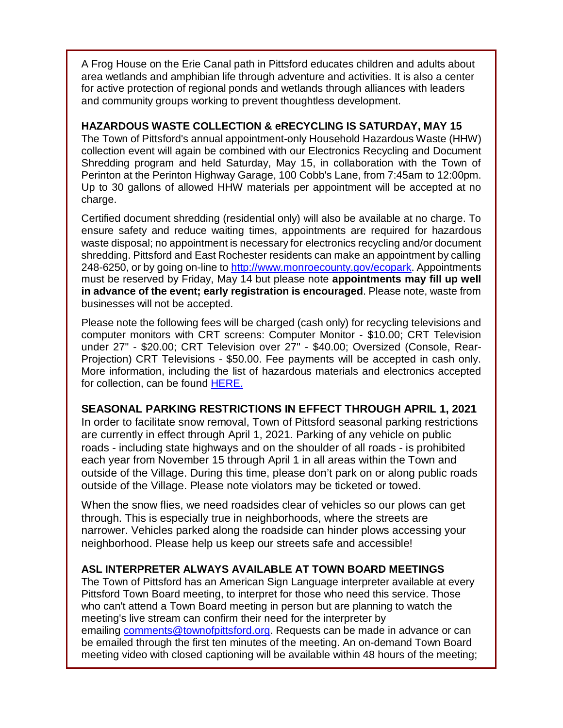A Frog House on the Erie Canal path in Pittsford educates children and adults about area wetlands and amphibian life through adventure and activities. It is also a center for active protection of regional ponds and wetlands through alliances with leaders and community groups working to prevent thoughtless development.

#### **HAZARDOUS WASTE COLLECTION & eRECYCLING IS SATURDAY, MAY 15**

The Town of Pittsford's annual appointment-only Household Hazardous Waste (HHW) collection event will again be combined with our Electronics Recycling and Document Shredding program and held Saturday, May 15, in collaboration with the Town of Perinton at the Perinton Highway Garage, 100 Cobb's Lane, from 7:45am to 12:00pm. Up to 30 gallons of allowed HHW materials per appointment will be accepted at no charge.

Certified document shredding (residential only) will also be available at no charge. To ensure safety and reduce waiting times, appointments are required for hazardous waste disposal; no appointment is necessary for electronics recycling and/or document shredding. Pittsford and East Rochester residents can make an appointment by calling 248-6250, or by going on-line to [http://www.monroecounty.gov/ecopark.](http://r20.rs6.net/tn.jsp?f=001vGYnQEEn9Dr7pWe6QR9pkvIR3BfXMuc8937jggmtx-wDh7C9GPtvfWfopM-Vjsbhnn9h9vBhu3Ln5alRUv-hoMbG5nLIxd8PSfVgs8w_apAqS_w73O0VCahp0XjzJa8Y8VHG1ZY1wGqQGqNn1inWB73IYbY7BaPj&c=a256ri-a5MykarC7Wv64PtmhLEXR9MOxdRdb1DEXbyMDjIEG6chpzQ==&ch=eD3mScsc_qZlrffOmTCjpgKvAFhep9v7qlwYDavSmsSIHnQBDjs7LA==) Appointments must be reserved by Friday, May 14 but please note **appointments may fill up well in advance of the event; early registration is encouraged**. Please note, waste from businesses will not be accepted.

Please note the following fees will be charged (cash only) for recycling televisions and computer monitors with CRT screens: Computer Monitor - \$10.00; CRT Television under 27" - \$20.00; CRT Television over 27" - \$40.00; Oversized (Console, Rear-Projection) CRT Televisions - \$50.00. Fee payments will be accepted in cash only. More information, including the list of hazardous materials and electronics accepted for collection, can be found **HERE.** 

#### **SEASONAL PARKING RESTRICTIONS IN EFFECT THROUGH APRIL 1, 2021**

In order to facilitate snow removal, Town of Pittsford seasonal parking restrictions are currently in effect through April 1, 2021. Parking of any vehicle on public roads - including state highways and on the shoulder of all roads - is prohibited each year from November 15 through April 1 in all areas within the Town and outside of the Village. During this time, please don't park on or along public roads outside of the Village. Please note violators may be ticketed or towed.

When the snow flies, we need roadsides clear of vehicles so our plows can get through. This is especially true in neighborhoods, where the streets are narrower. Vehicles parked along the roadside can hinder plows accessing your neighborhood. Please help us keep our streets safe and accessible!

#### **ASL INTERPRETER ALWAYS AVAILABLE AT TOWN BOARD MEETINGS**

The Town of Pittsford has an American Sign Language interpreter available at every Pittsford Town Board meeting, to interpret for those who need this service. Those who can't attend a Town Board meeting in person but are planning to watch the meeting's live stream can confirm their need for the interpreter by emailing [comments@townofpittsford.org.](mailto:comments@townofpittsford.org?subject=ASL%20interperter%20request%20for%20Town%20Board%20meeting) Requests can be made in advance or can be emailed through the first ten minutes of the meeting. An on-demand Town Board meeting video with closed captioning will be available within 48 hours of the meeting;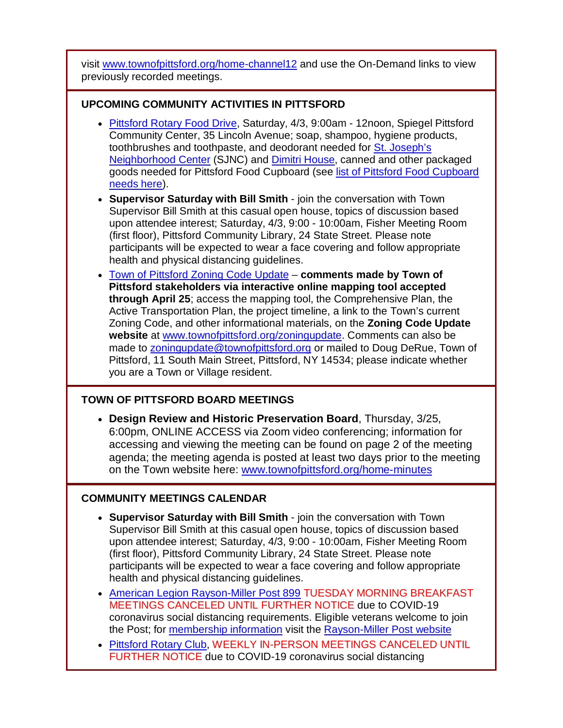visit [www.townofpittsford.org/home-channel12](http://r20.rs6.net/tn.jsp?f=001vGYnQEEn9Dr7pWe6QR9pkvIR3BfXMuc8937jggmtx-wDh7C9GPtvfYpgx4riDqt8ICAfBDbUB2J4K-qURxmn7OKADPKMph3SPCUDArZ717AYW489T4hF81EmGFKY1PG9W-8tPR5EMjwuHJzjSEI2MRe-wSQrRXN8L8K2W9c04h0=&c=a256ri-a5MykarC7Wv64PtmhLEXR9MOxdRdb1DEXbyMDjIEG6chpzQ==&ch=eD3mScsc_qZlrffOmTCjpgKvAFhep9v7qlwYDavSmsSIHnQBDjs7LA==) and use the On-Demand links to view previously recorded meetings.

#### **UPCOMING COMMUNITY ACTIVITIES IN PITTSFORD**

- [Pittsford Rotary Food Drive,](http://r20.rs6.net/tn.jsp?f=001vGYnQEEn9Dr7pWe6QR9pkvIR3BfXMuc8937jggmtx-wDh7C9GPtvfYyc3d01eIlizAcYXRUfm8Idu4PrPK0VxGntKZPIOjn6awMg1WIYQv1EwnFTPRiCQGx3O9HgjUJhxFo5srM7MbWA6T65jtVnbZGdtSVrV9WR&c=a256ri-a5MykarC7Wv64PtmhLEXR9MOxdRdb1DEXbyMDjIEG6chpzQ==&ch=eD3mScsc_qZlrffOmTCjpgKvAFhep9v7qlwYDavSmsSIHnQBDjs7LA==) Saturday, 4/3, 9:00am 12noon, Spiegel Pittsford Community Center, 35 Lincoln Avenue; soap, shampoo, hygiene products, toothbrushes and toothpaste, and deodorant needed for [St. Joseph's](http://r20.rs6.net/tn.jsp?f=001vGYnQEEn9Dr7pWe6QR9pkvIR3BfXMuc8937jggmtx-wDh7C9GPtvfScUt4qIRL2ZM2AFLtwLadd_kjyvtIhO20DKcBpCLz7B7u2TSQaGKs-d5TEbmM69PCck8CGHktCBSsEoeHgOhM7yk6v4MUUMfg==&c=a256ri-a5MykarC7Wv64PtmhLEXR9MOxdRdb1DEXbyMDjIEG6chpzQ==&ch=eD3mScsc_qZlrffOmTCjpgKvAFhep9v7qlwYDavSmsSIHnQBDjs7LA==)  [Neighborhood Center](http://r20.rs6.net/tn.jsp?f=001vGYnQEEn9Dr7pWe6QR9pkvIR3BfXMuc8937jggmtx-wDh7C9GPtvfScUt4qIRL2ZM2AFLtwLadd_kjyvtIhO20DKcBpCLz7B7u2TSQaGKs-d5TEbmM69PCck8CGHktCBSsEoeHgOhM7yk6v4MUUMfg==&c=a256ri-a5MykarC7Wv64PtmhLEXR9MOxdRdb1DEXbyMDjIEG6chpzQ==&ch=eD3mScsc_qZlrffOmTCjpgKvAFhep9v7qlwYDavSmsSIHnQBDjs7LA==) (SJNC) and [Dimitri House,](http://r20.rs6.net/tn.jsp?f=001vGYnQEEn9Dr7pWe6QR9pkvIR3BfXMuc8937jggmtx-wDh7C9GPtvfScUt4qIRL2Z3Wox1ZcWA7rEFG28c6eUgpg3jnEhIzrAiPojTaiUvw_5aXyLq-TwtvH3-4v5gbhUItyCFBXisZyoDw8mge2uDQ==&c=a256ri-a5MykarC7Wv64PtmhLEXR9MOxdRdb1DEXbyMDjIEG6chpzQ==&ch=eD3mScsc_qZlrffOmTCjpgKvAFhep9v7qlwYDavSmsSIHnQBDjs7LA==) canned and other packaged goods needed for Pittsford Food Cupboard (see [list of Pittsford Food Cupboard](http://r20.rs6.net/tn.jsp?f=001vGYnQEEn9Dr7pWe6QR9pkvIR3BfXMuc8937jggmtx-wDh7C9GPtvfatjqGEzeAkR6bS8tbLd296p69c8ah4SIdWDjzi2yWobIk1snP0nFDwTqbzalP3-9ZmUTTcCW7O_NdJDAY3hY2T27crCbJa5NZlhVGx8SYnqk0wtL0WkuMGcXlOsbIkpo9QbxsN4NIBP&c=a256ri-a5MykarC7Wv64PtmhLEXR9MOxdRdb1DEXbyMDjIEG6chpzQ==&ch=eD3mScsc_qZlrffOmTCjpgKvAFhep9v7qlwYDavSmsSIHnQBDjs7LA==)  [needs here\)](http://r20.rs6.net/tn.jsp?f=001vGYnQEEn9Dr7pWe6QR9pkvIR3BfXMuc8937jggmtx-wDh7C9GPtvfatjqGEzeAkR6bS8tbLd296p69c8ah4SIdWDjzi2yWobIk1snP0nFDwTqbzalP3-9ZmUTTcCW7O_NdJDAY3hY2T27crCbJa5NZlhVGx8SYnqk0wtL0WkuMGcXlOsbIkpo9QbxsN4NIBP&c=a256ri-a5MykarC7Wv64PtmhLEXR9MOxdRdb1DEXbyMDjIEG6chpzQ==&ch=eD3mScsc_qZlrffOmTCjpgKvAFhep9v7qlwYDavSmsSIHnQBDjs7LA==).
- **Supervisor Saturday with Bill Smith** join the conversation with Town Supervisor Bill Smith at this casual open house, topics of discussion based upon attendee interest; Saturday, 4/3, 9:00 - 10:00am, Fisher Meeting Room (first floor), Pittsford Community Library, 24 State Street. Please note participants will be expected to wear a face covering and follow appropriate health and physical distancing guidelines.
- [Town of Pittsford Zoning Code Update](http://r20.rs6.net/tn.jsp?f=001vGYnQEEn9Dr7pWe6QR9pkvIR3BfXMuc8937jggmtx-wDh7C9GPtvfcUClpPrLOtcissn00ZqYZm7LfDYEnNKnJkyqC2GWdOixLGuS_rq3hFe8trY7TYpq3-MKgcZvA3tudsPz7IWJ8PtOh3Jli21J8V37LStAjCTyDOeXb-IACA=&c=a256ri-a5MykarC7Wv64PtmhLEXR9MOxdRdb1DEXbyMDjIEG6chpzQ==&ch=eD3mScsc_qZlrffOmTCjpgKvAFhep9v7qlwYDavSmsSIHnQBDjs7LA==) **comments made by Town of Pittsford stakeholders via interactive online mapping tool accepted through April 25**; access the mapping tool, the Comprehensive Plan, the Active Transportation Plan, the project timeline, a link to the Town's current Zoning Code, and other informational materials, on the **Zoning Code Update website** at [www.townofpittsford.org/zoningupdate.](http://r20.rs6.net/tn.jsp?f=001vGYnQEEn9Dr7pWe6QR9pkvIR3BfXMuc8937jggmtx-wDh7C9GPtvfcUClpPrLOtcissn00ZqYZm7LfDYEnNKnJkyqC2GWdOixLGuS_rq3hFe8trY7TYpq3-MKgcZvA3tudsPz7IWJ8PtOh3Jli21J8V37LStAjCTyDOeXb-IACA=&c=a256ri-a5MykarC7Wv64PtmhLEXR9MOxdRdb1DEXbyMDjIEG6chpzQ==&ch=eD3mScsc_qZlrffOmTCjpgKvAFhep9v7qlwYDavSmsSIHnQBDjs7LA==) Comments can also be made to [zoningupdate@townofpittsford.org](mailto:zoningupdate@townofpittsford.org) or mailed to Doug DeRue, Town of Pittsford, 11 South Main Street, Pittsford, NY 14534; please indicate whether you are a Town or Village resident.

### **TOWN OF PITTSFORD BOARD MEETINGS**

• **Design Review and Historic Preservation Board**, Thursday, 3/25, 6:00pm, ONLINE ACCESS via Zoom video conferencing; information for accessing and viewing the meeting can be found on page 2 of the meeting agenda; the meeting agenda is posted at least two days prior to the meeting on the Town website here: [www.townofpittsford.org/home-minutes](http://r20.rs6.net/tn.jsp?f=001vGYnQEEn9Dr7pWe6QR9pkvIR3BfXMuc8937jggmtx-wDh7C9GPtvfedleLfpWWbeW8p3bWtJ8DVNSEfyH2MoJSU1vIh0392FDCR5M598bw6BC0VLxfYroNDHCYjln6o9a-op668AMz8yjHJG6lco9wTWgmfcpDPJThi61D4jAZ8=&c=a256ri-a5MykarC7Wv64PtmhLEXR9MOxdRdb1DEXbyMDjIEG6chpzQ==&ch=eD3mScsc_qZlrffOmTCjpgKvAFhep9v7qlwYDavSmsSIHnQBDjs7LA==)

### **COMMUNITY MEETINGS CALENDAR**

- **Supervisor Saturday with Bill Smith** join the conversation with Town Supervisor Bill Smith at this casual open house, topics of discussion based upon attendee interest; Saturday, 4/3, 9:00 - 10:00am, Fisher Meeting Room (first floor), Pittsford Community Library, 24 State Street. Please note participants will be expected to wear a face covering and follow appropriate health and physical distancing guidelines.
- [American Legion Rayson-Miller Post 899](http://r20.rs6.net/tn.jsp?f=001vGYnQEEn9Dr7pWe6QR9pkvIR3BfXMuc8937jggmtx-wDh7C9GPtvfQGTJfQUtC-8QOr9bL3-_sQnCRedXfStAGKjRTtd12AEebsmFqvEj5Zhh4DFY-seKG11MnpwM4-dACDEkVDAPt4GgE8cWwLtOvU_8FSxAC94&c=a256ri-a5MykarC7Wv64PtmhLEXR9MOxdRdb1DEXbyMDjIEG6chpzQ==&ch=eD3mScsc_qZlrffOmTCjpgKvAFhep9v7qlwYDavSmsSIHnQBDjs7LA==) TUESDAY MORNING BREAKFAST MEETINGS CANCELED UNTIL FURTHER NOTICE due to COVID-19 coronavirus social distancing requirements. Eligible veterans welcome to join the Post; for [membership information](http://r20.rs6.net/tn.jsp?f=001vGYnQEEn9Dr7pWe6QR9pkvIR3BfXMuc8937jggmtx-wDh7C9GPtvfQGTJfQUtC-87zLyccBBHuT4DHcI1HWJ0g-_CxZ9GQv2VjILcwlmD12wv4q_JwtdqHX_QtzmsTPfH318KFsnlwyR5gceydobH0i-379l828OBJ3siUZ6lzft8Kp9DfSarCwpz-Fm-EbU&c=a256ri-a5MykarC7Wv64PtmhLEXR9MOxdRdb1DEXbyMDjIEG6chpzQ==&ch=eD3mScsc_qZlrffOmTCjpgKvAFhep9v7qlwYDavSmsSIHnQBDjs7LA==) visit the [Rayson-Miller Post website](http://r20.rs6.net/tn.jsp?f=001vGYnQEEn9Dr7pWe6QR9pkvIR3BfXMuc8937jggmtx-wDh7C9GPtvfUIFp8VKBjRl-QROtbbMUgRBX6oX4G5VFmdU9d_OmLXlG_hjSmN_eF0-VL2TBiQMcrfUbDiHw-4S8MFdo1ZXlvBwY5s7UqZO6Ud6cBu47kbKaKBjQhozOeKz4QC-507cbVT6qvOWU-8--fuSLYqW1spq0fDmbea0DuBEHuoEVNe1LcJVK0iPS06zzg6lw2fCtfyU-sFaLraC&c=a256ri-a5MykarC7Wv64PtmhLEXR9MOxdRdb1DEXbyMDjIEG6chpzQ==&ch=eD3mScsc_qZlrffOmTCjpgKvAFhep9v7qlwYDavSmsSIHnQBDjs7LA==)
- [Pittsford Rotary Club,](http://r20.rs6.net/tn.jsp?f=001vGYnQEEn9Dr7pWe6QR9pkvIR3BfXMuc8937jggmtx-wDh7C9GPtvfedleLfpWWbeFfD6VyVFTxymcNaWI_e-nhK7T7hoFNDtnS_IDCwEWRqKoALXXS2YRwuW5fzITbbx2JHG9KWusYB7FMHvnxc3dnj6oO6MA3sS&c=a256ri-a5MykarC7Wv64PtmhLEXR9MOxdRdb1DEXbyMDjIEG6chpzQ==&ch=eD3mScsc_qZlrffOmTCjpgKvAFhep9v7qlwYDavSmsSIHnQBDjs7LA==) WEEKLY IN-PERSON MEETINGS CANCELED UNTIL FURTHER NOTICE due to COVID-19 coronavirus social distancing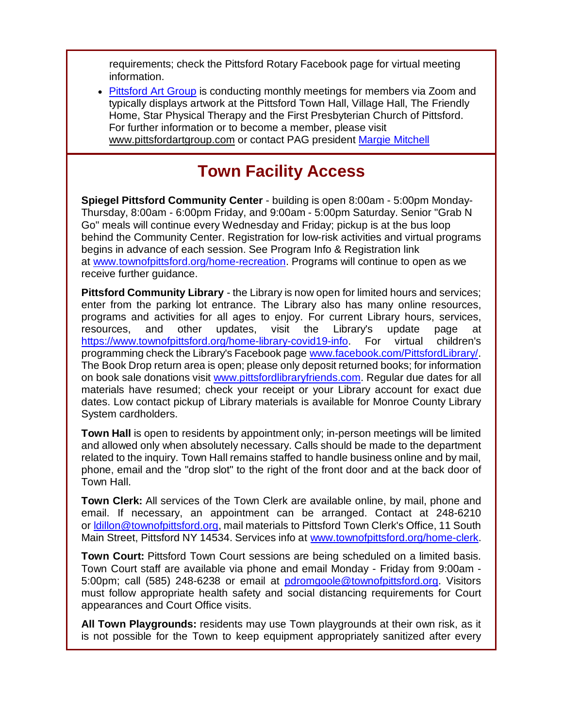requirements; check the Pittsford Rotary Facebook page for virtual meeting information.

• [Pittsford Art Group](http://r20.rs6.net/tn.jsp?f=001vGYnQEEn9Dr7pWe6QR9pkvIR3BfXMuc8937jggmtx-wDh7C9GPtvfdCfq1YpotaYOgplrnDS8kqfCPk3oiXTq7jVXUQeUMZXUYCXYQh_17_1Nitbb1W628x6zV0Om6K3CXkUy8rUmnhFRrrcjFpIG5e9xNtYu1QExoBqRURl04I=&c=a256ri-a5MykarC7Wv64PtmhLEXR9MOxdRdb1DEXbyMDjIEG6chpzQ==&ch=eD3mScsc_qZlrffOmTCjpgKvAFhep9v7qlwYDavSmsSIHnQBDjs7LA==) is conducting monthly meetings for members via Zoom and typically displays artwork at the Pittsford Town Hall, Village Hall, The Friendly Home, Star Physical Therapy and the First Presbyterian Church of Pittsford. For further information or to become a member, please visit [www.pittsfordartgroup.com](http://r20.rs6.net/tn.jsp?f=001vGYnQEEn9Dr7pWe6QR9pkvIR3BfXMuc8937jggmtx-wDh7C9GPtvfUH4D4qxLJYZya6vpMxF-XdZQ9jC8kwceFvrY37Sf3hf-qCHa6mvQDRJt3AA_yMxRXWU7pk0dVyTfOT70Xz6OyRRLBmMHZLUowJFTwV1S2yq&c=a256ri-a5MykarC7Wv64PtmhLEXR9MOxdRdb1DEXbyMDjIEG6chpzQ==&ch=eD3mScsc_qZlrffOmTCjpgKvAFhep9v7qlwYDavSmsSIHnQBDjs7LA==) or contact PAG president [Margie Mitchell](mailto:mhsmitchell@gmail.com?subject=Pittsford%20Art%20Group%20Meetings%20and%20Membership)

# **Town Facility Access**

**Spiegel Pittsford Community Center** - building is open 8:00am - 5:00pm Monday-Thursday, 8:00am - 6:00pm Friday, and 9:00am - 5:00pm Saturday. Senior "Grab N Go" meals will continue every Wednesday and Friday; pickup is at the bus loop behind the Community Center. Registration for low-risk activities and virtual programs begins in advance of each session. See Program Info & Registration link at [www.townofpittsford.org/home-recreation.](http://r20.rs6.net/tn.jsp?f=001vGYnQEEn9Dr7pWe6QR9pkvIR3BfXMuc8937jggmtx-wDh7C9GPtvfUi6aOctRgit-8ZQB-jw1wQGQiZ5mn9zOYH40GIdPeA0f6VGhw6lk4U4KMWy8PSMINbKAlh6F8FpSOyHWUl95lEmKsG8wxxpAI_1a3OSIDGyLBZgHTv_YIDwABKEbTXEVA==&c=a256ri-a5MykarC7Wv64PtmhLEXR9MOxdRdb1DEXbyMDjIEG6chpzQ==&ch=eD3mScsc_qZlrffOmTCjpgKvAFhep9v7qlwYDavSmsSIHnQBDjs7LA==) Programs will continue to open as we receive further guidance.

**Pittsford Community Library** - the Library is now open for limited hours and services; enter from the parking lot entrance. The Library also has many online resources, programs and activities for all ages to enjoy. For current Library hours, services, resources, and other updates, visit the Library's update page at [https://www.townofpittsford.org/home-library-covid19-info.](http://https/www.townofpittsford.org/home-library-covid19-info) For virtual children's programming check the Library's Facebook page [www.facebook.com/PittsfordLibrary/.](http://r20.rs6.net/tn.jsp?f=001vGYnQEEn9Dr7pWe6QR9pkvIR3BfXMuc8937jggmtx-wDh7C9GPtvfaSWg_CeQXQ-KucjF26ILTpFcqcoO4BOZCTFR7pi54hbsWfiYBdR9jOpxP0U5yJA35MueuCZFjn1IwX2xsHGxeMmB7nZu4HwzWicmAOp6kBFY_KSS8OcU4E=&c=a256ri-a5MykarC7Wv64PtmhLEXR9MOxdRdb1DEXbyMDjIEG6chpzQ==&ch=eD3mScsc_qZlrffOmTCjpgKvAFhep9v7qlwYDavSmsSIHnQBDjs7LA==) The Book Drop return area is open; please only deposit returned books; for information on book sale donations visit [www.pittsfordlibraryfriends.com.](http://r20.rs6.net/tn.jsp?f=001vGYnQEEn9Dr7pWe6QR9pkvIR3BfXMuc8937jggmtx-wDh7C9GPtvfdahQo6cq_iUPeNcq1wxBw0OneFg07J1I-kaj34lChsWDJromlKMD3DOS27wOB5F89jkffYXU-rDVxuFyzq2uqnJc18x1eP-WbQVo3kpqZqMQrEndnfYgXQ=&c=a256ri-a5MykarC7Wv64PtmhLEXR9MOxdRdb1DEXbyMDjIEG6chpzQ==&ch=eD3mScsc_qZlrffOmTCjpgKvAFhep9v7qlwYDavSmsSIHnQBDjs7LA==) Regular due dates for all materials have resumed; check your receipt or your Library account for exact due dates. Low contact pickup of Library materials is available for Monroe County Library System cardholders.

**Town Hall** is open to residents by appointment only; in-person meetings will be limited and allowed only when absolutely necessary. Calls should be made to the department related to the inquiry. Town Hall remains staffed to handle business online and by mail, phone, email and the "drop slot" to the right of the front door and at the back door of Town Hall.

**Town Clerk:** All services of the Town Clerk are available online, by mail, phone and email. If necessary, an appointment can be arranged. Contact at 248-6210 or Idillon@townofpittsford.org, mail materials to Pittsford Town Clerk's Office, 11 South Main Street, Pittsford NY 14534. Services info at [www.townofpittsford.org/home-clerk.](http://r20.rs6.net/tn.jsp?f=001vGYnQEEn9Dr7pWe6QR9pkvIR3BfXMuc8937jggmtx-wDh7C9GPtvfbL8A8gvu5k-PywKB02SVcabj7-cpbzREMEvK0udprWr4UhQf0DynrGHsMimptWoLGcEyq30UEuiKWT65Dzzh0YCGWLhR3iBVRzFA8K1YF5cNFA4IEOqFwc=&c=a256ri-a5MykarC7Wv64PtmhLEXR9MOxdRdb1DEXbyMDjIEG6chpzQ==&ch=eD3mScsc_qZlrffOmTCjpgKvAFhep9v7qlwYDavSmsSIHnQBDjs7LA==)

**Town Court:** Pittsford Town Court sessions are being scheduled on a limited basis. Town Court staff are available via phone and email Monday - Friday from 9:00am - 5:00pm; call (585) 248-6238 or email at [pdromgoole@townofpittsford.org.](mailto:pdromgoole@townofpittsford.org) Visitors must follow appropriate health safety and social distancing requirements for Court appearances and Court Office visits.

**All Town Playgrounds:** residents may use Town playgrounds at their own risk, as it is not possible for the Town to keep equipment appropriately sanitized after every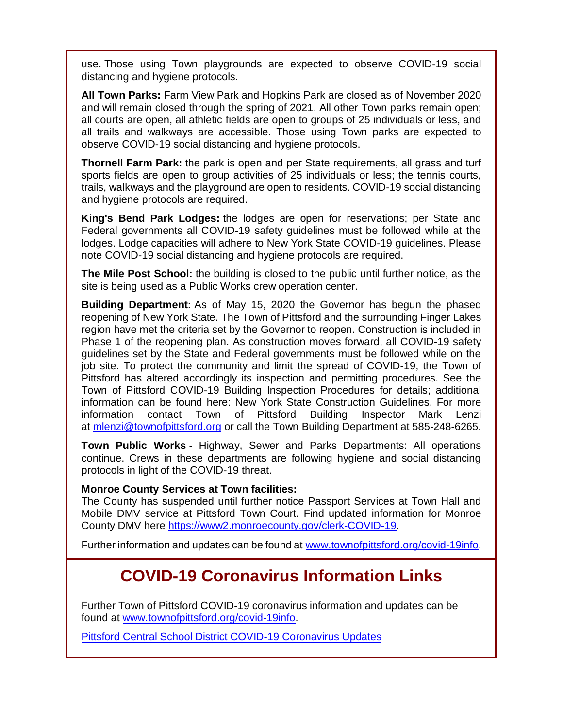use. Those using Town playgrounds are expected to observe COVID-19 social distancing and hygiene protocols.

**All Town Parks:** Farm View Park and Hopkins Park are closed as of November 2020 and will remain closed through the spring of 2021. All other Town parks remain open; all courts are open, all athletic fields are open to groups of 25 individuals or less, and all trails and walkways are accessible. Those using Town parks are expected to observe COVID-19 social distancing and hygiene protocols.

**Thornell Farm Park:** the park is open and per State requirements, all grass and turf sports fields are open to group activities of 25 individuals or less; the tennis courts, trails, walkways and the playground are open to residents. COVID-19 social distancing and hygiene protocols are required.

**King's Bend Park Lodges:** the lodges are open for reservations; per State and Federal governments all COVID-19 safety guidelines must be followed while at the lodges. Lodge capacities will adhere to New York State COVID-19 guidelines. Please note COVID-19 social distancing and hygiene protocols are required.

**The Mile Post School:** the building is closed to the public until further notice, as the site is being used as a Public Works crew operation center.

**Building Department:** As of May 15, 2020 the Governor has begun the phased reopening of New York State. The Town of Pittsford and the surrounding Finger Lakes region have met the criteria set by the Governor to reopen. Construction is included in Phase 1 of the reopening plan. As construction moves forward, all COVID-19 safety guidelines set by the State and Federal governments must be followed while on the job site. To protect the community and limit the spread of COVID-19, the Town of Pittsford has altered accordingly its inspection and permitting procedures. See the Town of Pittsford COVID-19 Building Inspection Procedures for details; additional information can be found here: New York State Construction Guidelines. For more information contact Town of Pittsford Building Inspector Mark Lenzi at [mlenzi@townofpittsford.org](mailto:mlenzi@townofpittsford.org?subject=COVID-19%20Construciton%20Information) or call the Town Building Department at 585-248-6265.

**Town Public Works** - Highway, Sewer and Parks Departments: All operations continue. Crews in these departments are following hygiene and social distancing protocols in light of the COVID-19 threat.

#### **Monroe County Services at Town facilities:**

The County has suspended until further notice Passport Services at Town Hall and Mobile DMV service at Pittsford Town Court. Find updated information for Monroe County DMV here [https://www2.monroecounty.gov/clerk-COVID-19.](http://r20.rs6.net/tn.jsp?f=001vGYnQEEn9Dr7pWe6QR9pkvIR3BfXMuc8937jggmtx-wDh7C9GPtvfbuUcIepFSHTKazOGkRSQnDSS44U4i3tm5bjAnT15QNMsb32ucQsB7V-XJ5A-rq8D_bDqWEj-5xnnyaeG4WXz2Lh6GAXl_1JQJYe81l0iOALAkVmfAYWm7c=&c=a256ri-a5MykarC7Wv64PtmhLEXR9MOxdRdb1DEXbyMDjIEG6chpzQ==&ch=eD3mScsc_qZlrffOmTCjpgKvAFhep9v7qlwYDavSmsSIHnQBDjs7LA==)

Further information and updates can be found at [www.townofpittsford.org/covid-19info.](http://r20.rs6.net/tn.jsp?f=001vGYnQEEn9Dr7pWe6QR9pkvIR3BfXMuc8937jggmtx-wDh7C9GPtvfSc3EtkByy5Hm4nPWny4jG1Zu8ghBIh623BK-4PYVaOnI5PfP0frn9WTSAXftJKzTwsDnRtuqC-s2THf_B2drarxMudwn5B9EGQjs2R6G_8bBAUKeovihxI=&c=a256ri-a5MykarC7Wv64PtmhLEXR9MOxdRdb1DEXbyMDjIEG6chpzQ==&ch=eD3mScsc_qZlrffOmTCjpgKvAFhep9v7qlwYDavSmsSIHnQBDjs7LA==)

# **COVID-19 Coronavirus Information Links**

Further Town of Pittsford COVID-19 coronavirus information and updates can be found at [www.townofpittsford.org/covid-19info.](http://r20.rs6.net/tn.jsp?f=001vGYnQEEn9Dr7pWe6QR9pkvIR3BfXMuc8937jggmtx-wDh7C9GPtvfSc3EtkByy5Hm4nPWny4jG1Zu8ghBIh623BK-4PYVaOnI5PfP0frn9WTSAXftJKzTwsDnRtuqC-s2THf_B2drarxMudwn5B9EGQjs2R6G_8bBAUKeovihxI=&c=a256ri-a5MykarC7Wv64PtmhLEXR9MOxdRdb1DEXbyMDjIEG6chpzQ==&ch=eD3mScsc_qZlrffOmTCjpgKvAFhep9v7qlwYDavSmsSIHnQBDjs7LA==)

[Pittsford Central School District COVID-19 Coronavirus Updates](http://r20.rs6.net/tn.jsp?f=001vGYnQEEn9Dr7pWe6QR9pkvIR3BfXMuc8937jggmtx-wDh7C9GPtvfaSWg_CeQXQ-mrsYOruEeuiKI9lx9I4WyFdtTMyDyW2DdaW1kGF_L0p5RGhNljZiRXr99OgzaND-F2lygCK5vLaUFod5eoW83WdRwD2C8oZWKCGo8lsIyRpYgT9S8ObPfw==&c=a256ri-a5MykarC7Wv64PtmhLEXR9MOxdRdb1DEXbyMDjIEG6chpzQ==&ch=eD3mScsc_qZlrffOmTCjpgKvAFhep9v7qlwYDavSmsSIHnQBDjs7LA==)